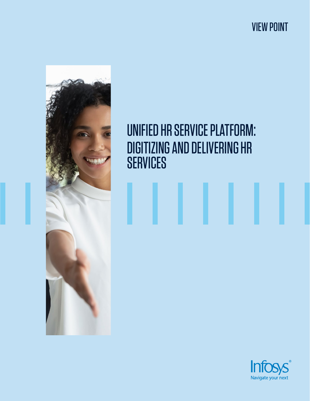VIEW POINT



# UNIFIED HR SERVICE PLATFORM: DIGITIZING AND DELIVERING HR **SERVICES**

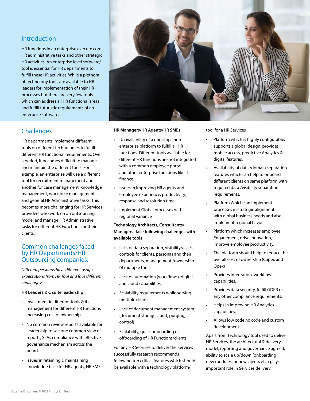## Introduction

HR functions in an enterprise execute core HR administrative tasks and other strategic HR activities. An enterprise level software/ tool is essential for HR departments to fulfill these HR activities. While a plethora of technology tools are available to HR leaders for implementation of their HR processes but there are very few tools which can address all HR functional areas and fulfill futuristic requirements of an enterprise software.

# **Challenges**

HR departments implement different tools on different technologies to fulfill different HR functional requirements. Over a period, it becomes difficult to manage and maintain the different tools. For example, an enterprise will use a different tool for recruitment management and another for case management, knowledge management, workforce management and general HR Administrative tasks. This becomes more challenging for HR Services providers who work on an outsourcing model and manage HR Administrative tasks for different HR Functions for their clients.

#### Common challenges faced by HR Departments/HR Outsourcing companies:

*Different personas have different usage expectations from HR Tool and face different challenges:*

#### **HR Leaders & C suite leadership**

- Investment in different tools & its management for different HR functions increasing cost of ownership.
- No common review reports available for Leadership to see one common view of reports, SLAs compliance with effective governance mechanism across the board.
- Issues in retaining & maintaining knowledge base for HR agents, HR SMEs.



#### **HR Managers/HR Agents/HR SMEs**

- Unavailability of a one stop shop enterprise platform to fulfill all HR functions. Different tools available for different HR functions are not integrated with a common employee portal and other enterprise functions like IT, finance.
- Issues in improving HR agents and employee experience, productivity; response and resolution time.
- Implement Global processes with regional variance

#### **Technology Architects, Consultants/ Managers- face following challenges with available tools**

- Lack of data separation, visibility/access controls for clients, personas and their departments, management /ownership of multiple tools.
- Lack of automation (workflows), digital and cloud capabilities.
- Scalability requirements while serving multiple clients
- Lack of document management system (document storage, audit, purging, control)
- Scalability, quick onboarding or offboarding of HR Functions/clients.

For any HR Services to deliver the Services successfully research recommends following top critical features which should be available with a technology platform/

tool for a HR Services

- Platform which is highly configurable, supports a global design, provides mobile access, predictive Analytics & digital features.
- Availability of data /domain separation features which can help to onboard different clients on same platform with required data /visibility separation requirements.
- Platform Which can implement processes in strategic alignment with global business needs and also implement regional flavor.
- Platform which increases employee Engagement, drive innovation, improve employee productivity.
- The platform should help to reduce the overall cost of ownership (Capex and Opex)
- Provides integration, workflow capabilities.
- Provides data security, fulfill GDPR or any other compliance requirements.
- Helps in improving HR Analytics capabilities.
- Allows low code no code and custom development.

Apart from Technology tool used to deliver HR Services, the architectural & delivery model, reporting and governance agreed, ability to scale up/down (onboarding new modules, or new clients etc.) plays important role in Services delivery.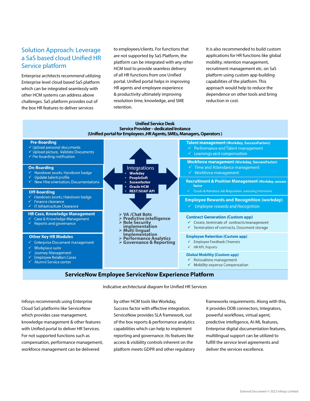# Solution Approach: Leverage a SaS based cloud Unified HR Service platform

Enterprise architects recommend utilizing Enterprise level cloud based SaS platform which can be integrated seamlessly with other HCM systems can address above challenges. SaS platform provides out of the box HR features to deliver services

to employees/clients. For functions that are not supported by SaS Platform, the platform can be integrated with any other HCM tool to provide seamless delivery of all HR functions from one Unified portal. Unified portal helps in improving HR agents and employee experience & productivity ultimately improving resolution time, knowledge, and SME retention.

It is also recommended to build custom applications for HR functions like global mobility, retention management, recruitment management etc. on SaS platform using custom app-building capabilities of the platform. This approach would help to reduce the dependence on other tools and bring reduction in cost.



#### **ServiceNow Employee ServiceNow Experience Platform**

Indicative architectural diagram for Unified HR Services

Infosys recommends using Enterprise Cloud SaS platforms like ServiceNow which provides case management, knowledge management & other features with Unified portal to deliver HR Services. For not supported functions such as compensation, performance management, workforce management can be delivered

by other HCM tools like Workday, Success factor with effective integration. ServiceNow provides SLA framework, out of the box reports & performance analytics capabilities which can help to implement reporting and governance. Its features like access & visibility controls inherent on the platform meets GDPR and other regulatory frameworks requirements. Along with this, it provides OOB connectors, Integrators, powerful workflows, virtual agent, predictive intelligence, AI-ML features, Enterprise digital documentation features, multilingual support can be utilized to fulfill the service level agreements and deliver the services excellence.